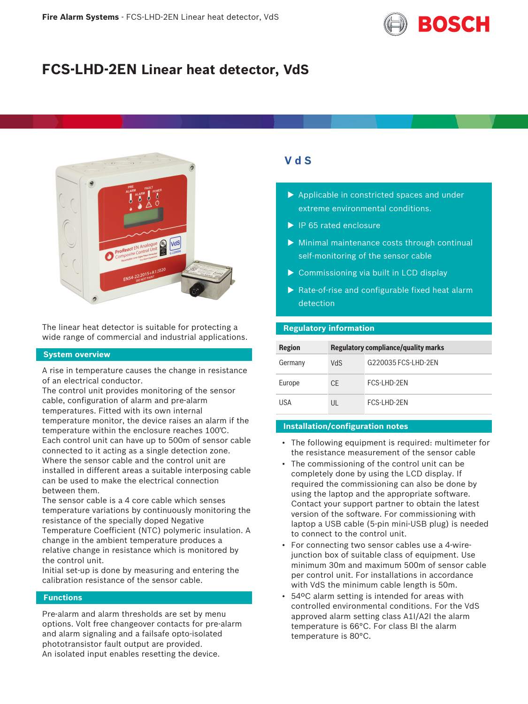

# **FCS-LHD-2EN Linear heat detector, VdS**



The linear heat detector is suitable for protecting a wide range of commercial and industrial applications.

# **System overview**

A rise in temperature causes the change in resistance of an electrical conductor.

The control unit provides monitoring of the sensor cable, configuration of alarm and pre-alarm temperatures. Fitted with its own internal temperature monitor, the device raises an alarm if the temperature within the enclosure reaches 100℃. Each control unit can have up to 500m of sensor cable connected to it acting as a single detection zone. Where the sensor cable and the control unit are installed in different areas a suitable interposing cable can be used to make the electrical connection between them.

The sensor cable is a 4 core cable which senses temperature variations by continuously monitoring the resistance of the specially doped Negative Temperature Coefficient (NTC) polymeric insulation. A change in the ambient temperature produces a relative change in resistance which is monitored by the control unit.

Initial set-up is done by measuring and entering the calibration resistance of the sensor cable.

# **Functions**

Pre-alarm and alarm thresholds are set by menu options. Volt free changeover contacts for pre-alarm and alarm signaling and a failsafe opto-isolated phototransistor fault output are provided. An isolated input enables resetting the device.

# **V d S**

- $\blacktriangleright$  Applicable in constricted spaces and under extreme environmental conditions.
- $\blacktriangleright$  IP 65 rated enclosure
- $\triangleright$  Minimal maintenance costs through continual self-monitoring of the sensor cable
- $\triangleright$  Commissioning via built in LCD display
- $\blacktriangleright$  Rate-of-rise and configurable fixed heat alarm detection

# **Regulatory information**

| <b>Region</b> | <b>Regulatory compliance/quality marks</b> |                     |
|---------------|--------------------------------------------|---------------------|
| Germany       | <b>NdS</b>                                 | G220035 FCS-LHD-2EN |
| Europe        | <b>CE</b>                                  | FCS-I HD-2FN        |
| USA           | UL                                         | FCS-I HD-2FN        |

# **Installation/configuration notes**

- The following equipment is required: multimeter for the resistance measurement of the sensor cable
- The commissioning of the control unit can be completely done by using the LCD display. If required the commissioning can also be done by using the laptop and the appropriate software. Contact your support partner to obtain the latest version of the software. For commissioning with laptop a USB cable (5-pin mini-USB plug) is needed to connect to the control unit.
- For connecting two sensor cables use a 4-wirejunction box of suitable class of equipment. Use minimum 30m and maximum 500m of sensor cable per control unit. For installations in accordance with VdS the minimum cable length is 50m.
- 54ºC alarm setting is intended for areas with controlled environmental conditions. For the VdS approved alarm setting class A1I/A2I the alarm temperature is 66°C. For class BI the alarm temperature is 80°C.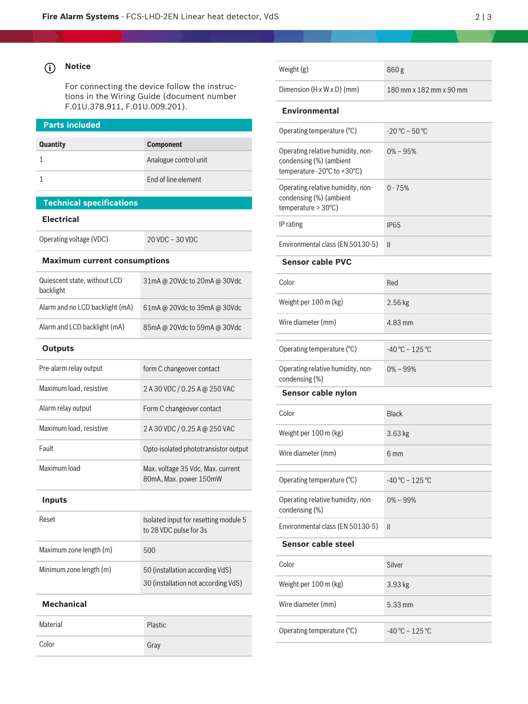#### **i Notice**

For connecting the device follow the instructions in the Wiring Guide (document number F.01U.378.911, F.01U.009.201).

| <b>Parts included</b>                     |                              |  |  |  |
|-------------------------------------------|------------------------------|--|--|--|
| Quantity                                  | <b>Component</b>             |  |  |  |
| 1                                         | Analogue control unit        |  |  |  |
| 1                                         | <b>End of line element</b>   |  |  |  |
| <b>Technical specifications</b>           |                              |  |  |  |
| Electrical                                |                              |  |  |  |
| Operating voltage (VDC)                   | 20 VDC - 30 VDC              |  |  |  |
| <b>Maximum current consumptions</b>       |                              |  |  |  |
| Quiescent state, without LCD<br>backlight | 31mA @ 20Vdc to 20mA @ 30Vdc |  |  |  |
| Alarm and no LCD backlight (mA)           | 61mA @ 20Vdc to 39mA @ 30Vdc |  |  |  |
| Alarm and LCD backlight (mA)              | 85mA @ 20Vdc to 59mA @ 30Vdc |  |  |  |
| <b>Outputs</b>                            |                              |  |  |  |
| Pre-alarm relay output                    | form C changeover contact    |  |  |  |

| τ το αιατιτι τοιαγυνιτριτ | <b>TOTTIL CORRESPOVER CONTRACT</b>                                     |
|---------------------------|------------------------------------------------------------------------|
| Maximum load, resistive   | 2 A 30 VDC / 0.25 A @ 250 VAC                                          |
| Alarm relay output        | Form C changeover contact                                              |
| Maximum load, resistive   | 2 A 30 VDC / 0.25 A @ 250 VAC                                          |
| Fault                     | Opto-isolated phototransistor output                                   |
| Maximum load              | Max. voltage 35 Vdc, Max. current<br>80mA, Max. power 150mW            |
| <b>Inputs</b>             |                                                                        |
| Reset                     | Isolated input for resetting module 5<br>to 28 VDC pulse for 3s        |
| Maximum zone length (m)   | 500                                                                    |
| Minimum zone length (m)   | 50 (installation according VdS)<br>30 (installation not according VdS) |
| <b>Mechanical</b>         |                                                                        |
| Material                  | Plastic                                                                |

Color Gray

| Weight (g)                                                                                   | 860g                              |
|----------------------------------------------------------------------------------------------|-----------------------------------|
| Dimension (H x W x D) (mm)                                                                   | 180 mm x 182 mm x 90 mm           |
| <b>Environmental</b>                                                                         |                                   |
| Operating temperature (°C)                                                                   | $-20^{\circ}$ C – 50 $^{\circ}$ C |
| Operating relative humidity, non-<br>condensing (%) (ambient<br>temperature - 20°C to +30°C) | $0\% - 95\%$                      |
| Operating relative humidity, non-<br>condensing (%) (ambient<br>temperature > 30°C)          | $0 - 75%$                         |
| IP rating                                                                                    | <b>IP65</b>                       |
| Environmental class (EN 50130-5)                                                             | $\mathsf{II}$                     |
| <b>Sensor cable PVC</b>                                                                      |                                   |
| Color                                                                                        | Red                               |
| Weight per 100 m (kg)                                                                        | 2.56 kg                           |
| Wire diameter (mm)                                                                           | 4.83 mm                           |
| Operating temperature (°C)                                                                   | $-40^{\circ}$ C - 125 °C          |
| Operating relative humidity, non-<br>condensing (%)                                          | $0\% - 99\%$                      |
| Sensor cable nylon                                                                           |                                   |
| Color                                                                                        | <b>Black</b>                      |
| Weight per 100 m (kg)                                                                        | 3.63 kg                           |
| Wire diameter (mm)                                                                           | 6 mm                              |
| Operating temperature (°C)                                                                   | $-40^{\circ}$ C - 125 °C          |
| Operating relative humidity, non-<br>condensing (%)                                          | $0\% - 99\%$                      |
| Environmental class (EN 50130-5)                                                             | $\mathsf{I}$                      |
| Sensor cable steel                                                                           |                                   |
| Color                                                                                        | Silver                            |
|                                                                                              |                                   |
| Weight per 100 m (kg)                                                                        | 3.93 kg                           |

Operating temperature ( $^{\circ}$ C)  $-40^{\circ}$ C – 125  $^{\circ}$ C